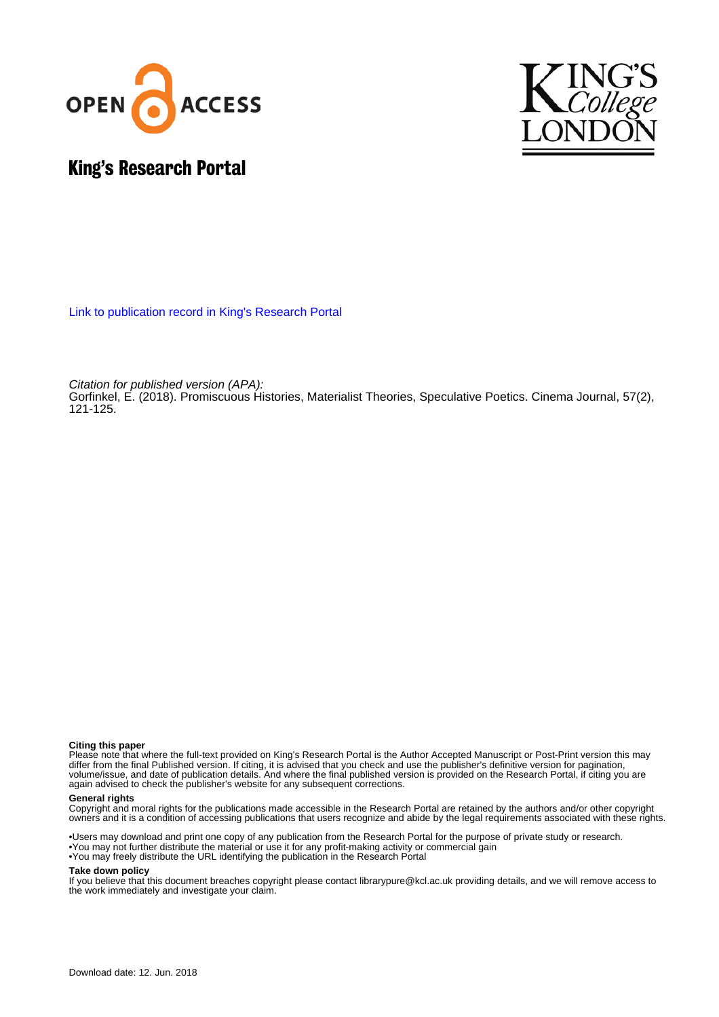



## King's Research Portal

[Link to publication record in King's Research Portal](https://kclpure.kcl.ac.uk/portal/en/publications/promiscuous-histories-materialist-theories-speculative-poetics(fbef405a-2217-4b9a-ace8-6465a1c786ac).html)

Citation for published version (APA): Gorfinkel, E. (2018). Promiscuous Histories, Materialist Theories, Speculative Poetics. Cinema Journal, 57(2), 121-125.

#### **Citing this paper**

Please note that where the full-text provided on King's Research Portal is the Author Accepted Manuscript or Post-Print version this may differ from the final Published version. If citing, it is advised that you check and use the publisher's definitive version for pagination, volume/issue, and date of publication details. And where the final published version is provided on the Research Portal, if citing you are again advised to check the publisher's website for any subsequent corrections.

#### **General rights**

Copyright and moral rights for the publications made accessible in the Research Portal are retained by the authors and/or other copyright owners and it is a condition of accessing publications that users recognize and abide by the legal requirements associated with these rights.

•Users may download and print one copy of any publication from the Research Portal for the purpose of private study or research. •You may not further distribute the material or use it for any profit-making activity or commercial gain •You may freely distribute the URL identifying the publication in the Research Portal

### **Take down policy**

If you believe that this document breaches copyright please contact librarypure@kcl.ac.uk providing details, and we will remove access to the work immediately and investigate your claim.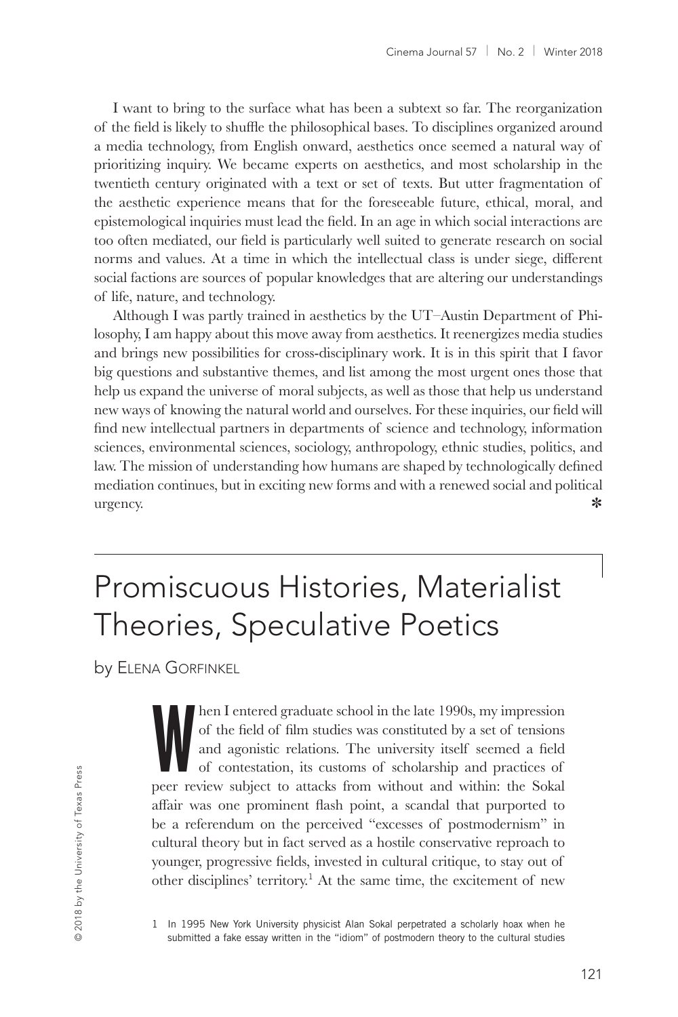I want to bring to the surface what has been a subtext so far. The reorganization of the field is likely to shuffle the philosophical bases. To disciplines organized around a media technology, from English onward, aesthetics once seemed a natural way of prioritizing inquiry. We became experts on aesthetics, and most scholarship in the twentieth century originated with a text or set of texts. But utter fragmentation of the aesthetic experience means that for the foreseeable future, ethical, moral, and epistemological inquiries must lead the field. In an age in which social interactions are too often mediated, our field is particularly well suited to generate research on social norms and values. At a time in which the intellectual class is under siege, different social factions are sources of popular knowledges that are altering our understandings of life, nature, and technology.

Although I was partly trained in aesthetics by the UT–Austin Department of Philosophy, I am happy about this move away from aesthetics. It reenergizes media studies and brings new possibilities for cross-disciplinary work. It is in this spirit that I favor big questions and substantive themes, and list among the most urgent ones those that help us expand the universe of moral subjects, as well as those that help us understand new ways of knowing the natural world and ourselves. For these inquiries, our field will find new intellectual partners in departments of science and technology, information sciences, environmental sciences, sociology, anthropology, ethnic studies, politics, and law. The mission of understanding how humans are shaped by technologically defined mediation continues, but in exciting new forms and with a renewed social and political urgency.  $\ast$ 

# Promiscuous Histories, Materialist Theories, Speculative Poetics

by ELENA GORFINKEL

hen I entered graduate school in the late 1990s, my impression<br>of the field of film studies was constituted by a set of tensions<br>and agonistic relations. The university itself seemed a field<br>of contestation, its customs of hen I entered graduate school in the late 1990s, my impression of the field of film studies was constituted by a set of tensions and agonistic relations. The university itself seemed a field of contestation, its customs of scholarship and practices of affair was one prominent flash point, a scandal that purported to be a referendum on the perceived "excesses of postmodernism" in cultural theory but in fact served as a hostile conservative reproach to younger, progressive fields, invested in cultural critique, to stay out of other disciplines' territory.<sup>1</sup> At the same time, the excitement of new

<sup>1</sup> In 1995 New York University physicist Alan Sokal perpetrated a scholarly hoax when he submitted a fake essay written in the "idiom" of postmodern theory to the cultural studies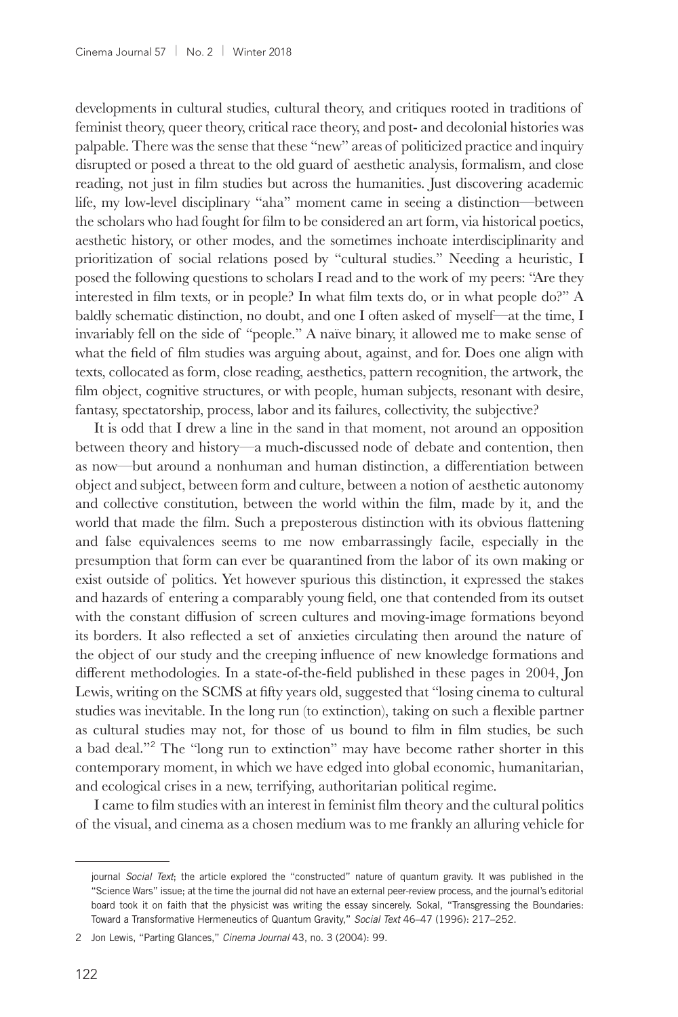developments in cultural studies, cultural theory, and critiques rooted in traditions of feminist theory, queer theory, critical race theory, and post- and decolonial histories was palpable. There was the sense that these "new" areas of politicized practice and inquiry disrupted or posed a threat to the old guard of aesthetic analysis, formalism, and close reading, not just in film studies but across the humanities. Just discovering academic life, my low-level disciplinary "aha" moment came in seeing a distinction—between the scholars who had fought for film to be considered an art form, via historical poetics, aesthetic history, or other modes, and the sometimes inchoate interdisciplinarity and prioritization of social relations posed by "cultural studies." Needing a heuristic, I posed the following questions to scholars I read and to the work of my peers: "Are they interested in film texts, or in people? In what film texts do, or in what people do?" A baldly schematic distinction, no doubt, and one I often asked of myself—at the time, I invariably fell on the side of "people." A naïve binary, it allowed me to make sense of what the field of film studies was arguing about, against, and for. Does one align with texts, collocated as form, close reading, aesthetics, pattern recognition, the artwork, the film object, cognitive structures, or with people, human subjects, resonant with desire, fantasy, spectatorship, process, labor and its failures, collectivity, the subjective?

It is odd that I drew a line in the sand in that moment, not around an opposition between theory and history—a much-discussed node of debate and contention, then as now—but around a nonhuman and human distinction, a differentiation between object and subject, between form and culture, between a notion of aesthetic autonomy and collective constitution, between the world within the film, made by it, and the world that made the film. Such a preposterous distinction with its obvious flattening and false equivalences seems to me now embarrassingly facile, especially in the presumption that form can ever be quarantined from the labor of its own making or exist outside of politics. Yet however spurious this distinction, it expressed the stakes and hazards of entering a comparably young field, one that contended from its outset with the constant diffusion of screen cultures and moving-image formations beyond its borders. It also reflected a set of anxieties circulating then around the nature of the object of our study and the creeping influence of new knowledge formations and different methodologies. In a state-of-the-field published in these pages in 2004, Jon Lewis, writing on the SCMS at fifty years old, suggested that "losing cinema to cultural studies was inevitable. In the long run (to extinction), taking on such a flexible partner as cultural studies may not, for those of us bound to film in film studies, be such a bad deal."<sup>2</sup> The "long run to extinction" may have become rather shorter in this contemporary moment, in which we have edged into global economic, humanitarian, and ecological crises in a new, terrifying, authoritarian political regime.

I came to film studies with an interest in feminist film theory and the cultural politics of the visual, and cinema as a chosen medium was to me frankly an alluring vehicle for

journal *Social Text*; the article explored the "constructed" nature of quantum gravity. It was published in the "Science Wars" issue; at the time the journal did not have an external peer-review process, and the journal's editorial board took it on faith that the physicist was writing the essay sincerely. Sokal, "Transgressing the Boundaries: Toward a Transformative Hermeneutics of Quantum Gravity," *Social Text* 46–47 (1996): 217–252.

<sup>2</sup> Jon Lewis, "Parting Glances," *Cinema Journal* 43, no. 3 (2004): 99.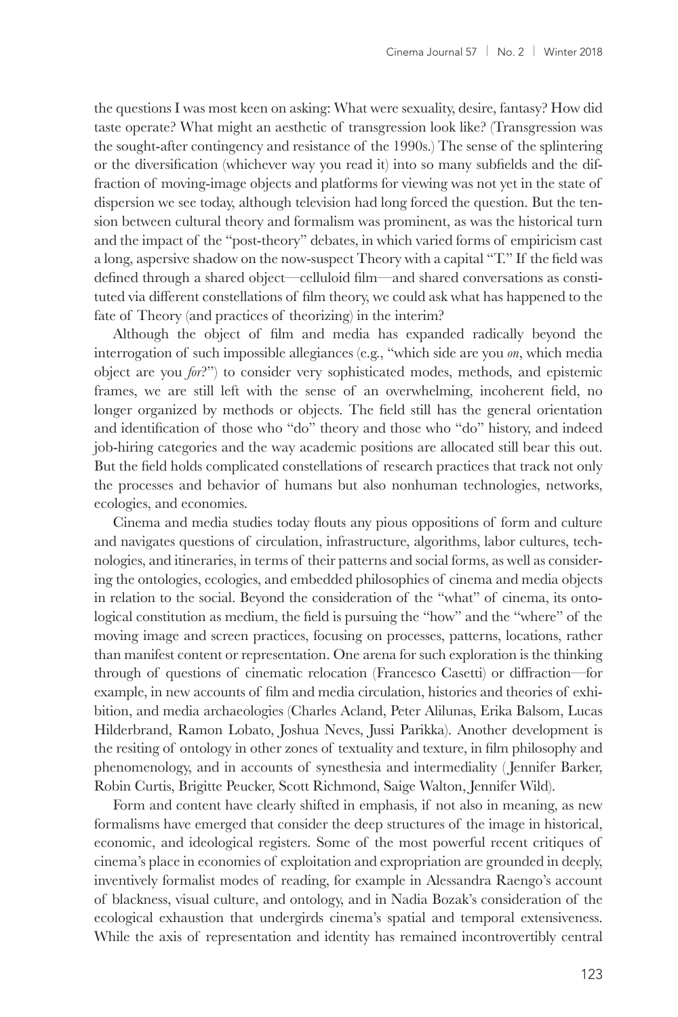the questions I was most keen on asking: What were sexuality, desire, fantasy? How did taste operate? What might an aesthetic of transgression look like? (Transgression was the sought-after contingency and resistance of the 1990s.) The sense of the splintering or the diversification (whichever way you read it) into so many subfields and the diffraction of moving-image objects and platforms for viewing was not yet in the state of dispersion we see today, although television had long forced the question. But the tension between cultural theory and formalism was prominent, as was the historical turn and the impact of the "post-theory" debates, in which varied forms of empiricism cast a long, aspersive shadow on the now-suspect Theory with a capital "T." If the field was defined through a shared object—celluloid film—and shared conversations as constituted via different constellations of film theory, we could ask what has happened to the fate of Theory (and practices of theorizing) in the interim?

Although the object of film and media has expanded radically beyond the interrogation of such impossible allegiances (e.g., "which side are you *on*, which media object are you *for*?") to consider very sophisticated modes, methods, and epistemic frames, we are still left with the sense of an overwhelming, incoherent field, no longer organized by methods or objects. The field still has the general orientation and identification of those who "do" theory and those who "do" history, and indeed job-hiring categories and the way academic positions are allocated still bear this out. But the field holds complicated constellations of research practices that track not only the processes and behavior of humans but also nonhuman technologies, networks, ecologies, and economies.

Cinema and media studies today flouts any pious oppositions of form and culture and navigates questions of circulation, infrastructure, algorithms, labor cultures, technologies, and itineraries, in terms of their patterns and social forms, as well as considering the ontologies, ecologies, and embedded philosophies of cinema and media objects in relation to the social. Beyond the consideration of the "what" of cinema, its ontological constitution as medium, the field is pursuing the "how" and the "where" of the moving image and screen practices, focusing on processes, patterns, locations, rather than manifest content or representation. One arena for such exploration is the thinking through of questions of cinematic relocation (Francesco Casetti) or diffraction—for example, in new accounts of film and media circulation, histories and theories of exhibition, and media archaeologies (Charles Acland, Peter Alilunas, Erika Balsom, Lucas Hilderbrand, Ramon Lobato, Joshua Neves, Jussi Parikka). Another development is the resiting of ontology in other zones of textuality and texture, in film philosophy and phenomenology, and in accounts of synesthesia and intermediality ( Jennifer Barker, Robin Curtis, Brigitte Peucker, Scott Richmond, Saige Walton, Jennifer Wild).

Form and content have clearly shifted in emphasis, if not also in meaning, as new formalisms have emerged that consider the deep structures of the image in historical, economic, and ideological registers. Some of the most powerful recent critiques of cinema's place in economies of exploitation and expropriation are grounded in deeply, inventively formalist modes of reading, for example in Alessandra Raengo's account of blackness, visual culture, and ontology, and in Nadia Bozak's consideration of the ecological exhaustion that undergirds cinema's spatial and temporal extensiveness. While the axis of representation and identity has remained incontrovertibly central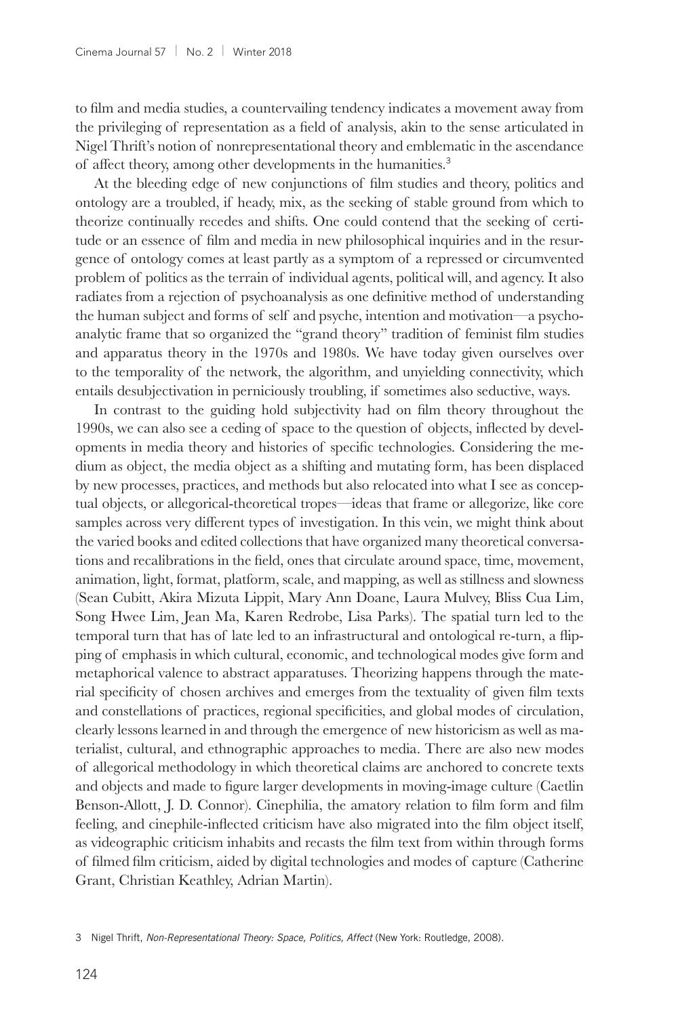to film and media studies, a countervailing tendency indicates a movement away from the privileging of representation as a field of analysis, akin to the sense articulated in Nigel Thrift's notion of nonrepresentational theory and emblematic in the ascendance of affect theory, among other developments in the humanities.<sup>3</sup>

At the bleeding edge of new conjunctions of film studies and theory, politics and ontology are a troubled, if heady, mix, as the seeking of stable ground from which to theorize continually recedes and shifts. One could contend that the seeking of certitude or an essence of film and media in new philosophical inquiries and in the resurgence of ontology comes at least partly as a symptom of a repressed or circumvented problem of politics as the terrain of individual agents, political will, and agency. It also radiates from a rejection of psychoanalysis as one definitive method of understanding the human subject and forms of self and psyche, intention and motivation—a psychoanalytic frame that so organized the "grand theory" tradition of feminist film studies and apparatus theory in the 1970s and 1980s. We have today given ourselves over to the temporality of the network, the algorithm, and unyielding connectivity, which entails desubjectivation in perniciously troubling, if sometimes also seductive, ways.

In contrast to the guiding hold subjectivity had on film theory throughout the 1990s, we can also see a ceding of space to the question of objects, inflected by developments in media theory and histories of specific technologies. Considering the medium as object, the media object as a shifting and mutating form, has been displaced by new processes, practices, and methods but also relocated into what I see as conceptual objects, or allegorical-theoretical tropes—ideas that frame or allegorize, like core samples across very different types of investigation. In this vein, we might think about the varied books and edited collections that have organized many theoretical conversations and recalibrations in the field, ones that circulate around space, time, movement, animation, light, format, platform, scale, and mapping, as well as stillness and slowness (Sean Cubitt, Akira Mizuta Lippit, Mary Ann Doane, Laura Mulvey, Bliss Cua Lim, Song Hwee Lim, Jean Ma, Karen Redrobe, Lisa Parks). The spatial turn led to the temporal turn that has of late led to an infrastructural and ontological re-turn, a flipping of emphasis in which cultural, economic, and technological modes give form and metaphorical valence to abstract apparatuses. Theorizing happens through the material specificity of chosen archives and emerges from the textuality of given film texts and constellations of practices, regional specificities, and global modes of circulation, clearly lessons learned in and through the emergence of new historicism as well as materialist, cultural, and ethnographic approaches to media. There are also new modes of allegorical methodology in which theoretical claims are anchored to concrete texts and objects and made to figure larger developments in moving-image culture (Caetlin Benson-Allott, J. D. Connor). Cinephilia, the amatory relation to film form and film feeling, and cinephile-inflected criticism have also migrated into the film object itself, as videographic criticism inhabits and recasts the film text from within through forms of filmed film criticism, aided by digital technologies and modes of capture (Catherine Grant, Christian Keathley, Adrian Martin).

<sup>3</sup> Nigel Thrift, *Non-Representational Theory: Space, Politics, Affect* (New York: Routledge, 2008).